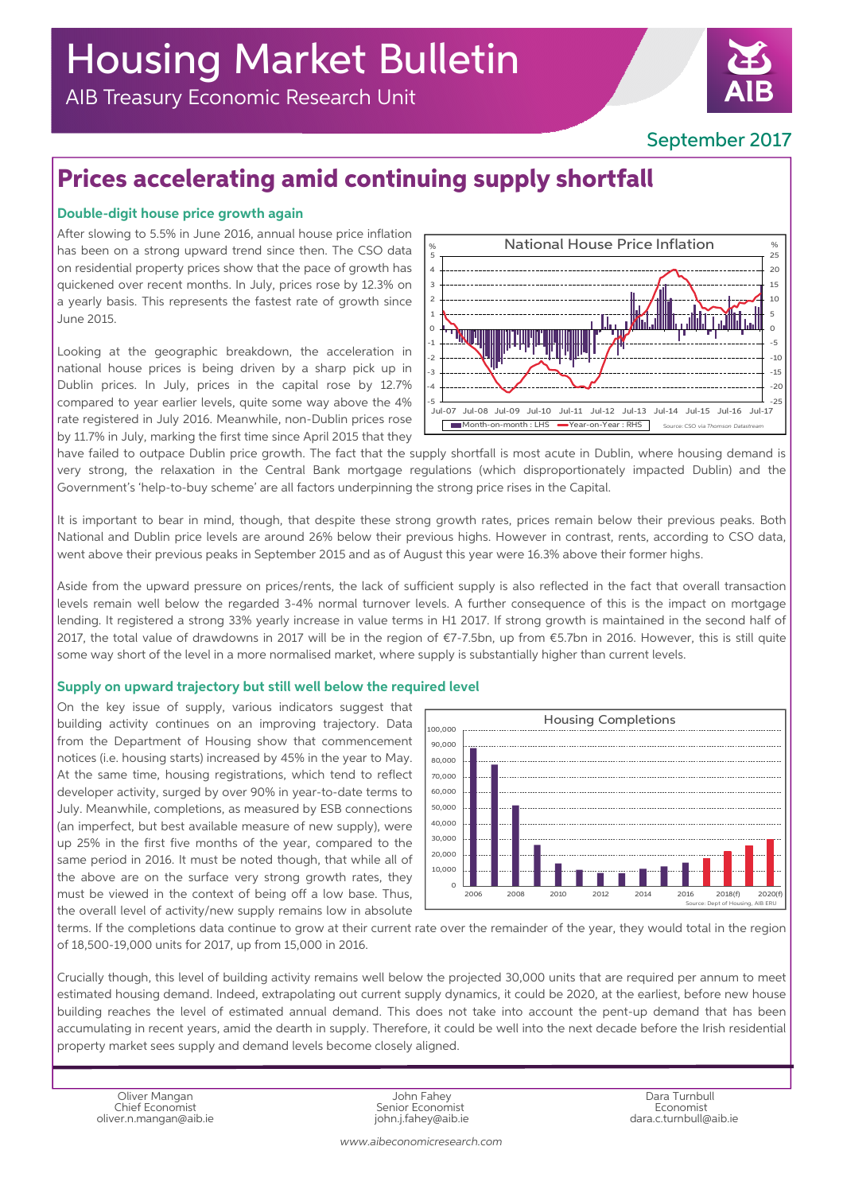# Housing Market Bulletin

AIB Treasury Economic Research Unit

### September 2017

## **Prices accelerating amid continuing supply shortfall**

### **Double-digit house price growth again**

After slowing to 5.5% in June 2016, annual house price inflation has been on a strong upward trend since then. The CSO data on residential property prices show that the pace of growth has quickened over recent months. In July, prices rose by 12.3% on a yearly basis. This represents the fastest rate of growth since June 2015.

Looking at the geographic breakdown, the acceleration in national house prices is being driven by a sharp pick up in Dublin prices. In July, prices in the capital rose by 12.7% compared to year earlier levels, quite some way above the 4% rate registered in July 2016. Meanwhile, non-Dublin prices rose by 11.7% in July, marking the first time since April 2015 that they



have failed to outpace Dublin price growth. The fact that the supply shortfall is most acute in Dublin, where housing demand is very strong, the relaxation in the Central Bank mortgage regulations (which disproportionately impacted Dublin) and the Government's 'help-to-buy scheme' are all factors underpinning the strong price rises in the Capital.

It is important to bear in mind, though, that despite these strong growth rates, prices remain below their previous peaks. Both National and Dublin price levels are around 26% below their previous highs. However in contrast, rents, according to CSO data, went above their previous peaks in September 2015 and as of August this year were 16.3% above their former highs.

Aside from the upward pressure on prices/rents, the lack of sufficient supply is also reflected in the fact that overall transaction levels remain well below the regarded 3-4% normal turnover levels. A further consequence of this is the impact on mortgage lending. It registered a strong 33% yearly increase in value terms in H1 2017. If strong growth is maintained in the second half of 2017, the total value of drawdowns in 2017 will be in the region of €7-7.5bn, up from €5.7bn in 2016. However, this is still quite some way short of the level in a more normalised market, where supply is substantially higher than current levels.

#### **Supply on upward trajectory but still well below the required level**

On the key issue of supply, various indicators suggest that building activity continues on an improving trajectory. Data from the Department of Housing show that commencement notices (i.e. housing starts) increased by 45% in the year to May. At the same time, housing registrations, which tend to reflect developer activity, surged by over 90% in year-to-date terms to July. Meanwhile, completions, as measured by ESB connections (an imperfect, but best available measure of new supply), were up 25% in the first five months of the year, compared to the same period in 2016. It must be noted though, that while all of the above are on the surface very strong growth rates, they must be viewed in the context of being off a low base. Thus, the overall level of activity/new supply remains low in absolute



terms. If the completions data continue to grow at their current rate over the remainder of the year, they would total in the region of 18,500-19,000 units for 2017, up from 15,000 in 2016.

Crucially though, this level of building activity remains well below the projected 30,000 units that are required per annum to meet estimated housing demand. Indeed, extrapolating out current supply dynamics, it could be 2020, at the earliest, before new house building reaches the level of estimated annual demand. This does not take into account the pent-up demand that has been accumulating in recent years, amid the dearth in supply. Therefore, it could be well into the next decade before the Irish residential property market sees supply and demand levels become closely aligned.

oliver.n.mangan@aib.ie industrial oliver.n.mangan@aib.ie dara.c.turnbull@aib.ie dara.c.turnbull@aib.ie dara.c

Oliver Mangan John Fahey Dara Turnbull

*www.aibeconomicresearch.com*